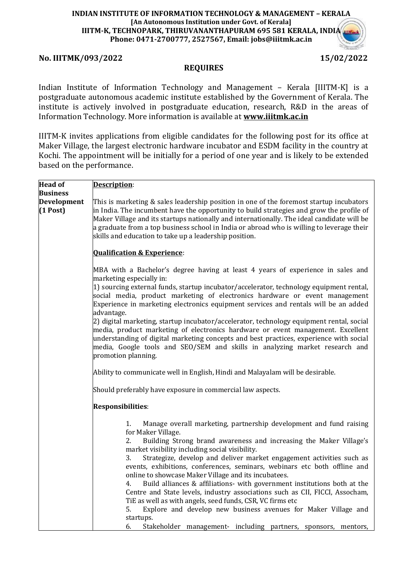## **No. IIITMK/093/2022 15/02/2022**

### **REQUIRES**

Indian Institute of Information Technology and Management – Kerala [IIITM-K] is a postgraduate autonomous academic institute established by the Government of Kerala. The institute is actively involved in postgraduate education, research, R&D in the areas of Information Technology. More information is available at **[www.iiitmk.ac.in](http://www.iiitmk.ac.in/)**

IIITM-K invites applications from eligible candidates for the following post for its office at Maker Village, the largest electronic hardware incubator and ESDM facility in the country at Kochi. The appointment will be initially for a period of one year and is likely to be extended based on the performance.

| <b>Head of</b>            | Description:                                                                                                                                                                                                                                                                                                                                                                                                                                                                                                                                                                                                                                                                                                                                                                                                                                                                                                              |
|---------------------------|---------------------------------------------------------------------------------------------------------------------------------------------------------------------------------------------------------------------------------------------------------------------------------------------------------------------------------------------------------------------------------------------------------------------------------------------------------------------------------------------------------------------------------------------------------------------------------------------------------------------------------------------------------------------------------------------------------------------------------------------------------------------------------------------------------------------------------------------------------------------------------------------------------------------------|
| <b>Business</b>           |                                                                                                                                                                                                                                                                                                                                                                                                                                                                                                                                                                                                                                                                                                                                                                                                                                                                                                                           |
| Development<br>$(1$ Post) | This is marketing & sales leadership position in one of the foremost startup incubators<br>in India. The incumbent have the opportunity to build strategies and grow the profile of<br>Maker Village and its startups nationally and internationally. The ideal candidate will be<br>a graduate from a top business school in India or abroad who is willing to leverage their<br>skills and education to take up a leadership position.                                                                                                                                                                                                                                                                                                                                                                                                                                                                                  |
|                           | <b>Qualification &amp; Experience:</b>                                                                                                                                                                                                                                                                                                                                                                                                                                                                                                                                                                                                                                                                                                                                                                                                                                                                                    |
|                           | MBA with a Bachelor's degree having at least 4 years of experience in sales and<br>marketing especially in:<br>1) sourcing external funds, startup incubator/accelerator, technology equipment rental,<br>social media, product marketing of electronics hardware or event management<br>Experience in marketing electronics equipment services and rentals will be an added<br>advantage.<br>2) digital marketing, startup incubator/accelerator, technology equipment rental, social<br>media, product marketing of electronics hardware or event management. Excellent<br>understanding of digital marketing concepts and best practices, experience with social<br>media, Google tools and SEO/SEM and skills in analyzing market research and<br>promotion planning.<br>Ability to communicate well in English, Hindi and Malayalam will be desirable.<br>Should preferably have exposure in commercial law aspects. |
|                           | Responsibilities:                                                                                                                                                                                                                                                                                                                                                                                                                                                                                                                                                                                                                                                                                                                                                                                                                                                                                                         |
|                           | Manage overall marketing, partnership development and fund raising<br>1.<br>for Maker Village.<br>Building Strong brand awareness and increasing the Maker Village's<br>2.<br>market visibility including social visibility.<br>Strategize, develop and deliver market engagement activities such as<br>3.<br>events, exhibitions, conferences, seminars, webinars etc both offline and<br>online to showcase Maker Village and its incubatees.<br>Build alliances & affiliations- with government institutions both at the<br>4.<br>Centre and State levels, industry associations such as CII, FICCI, Assocham,<br>TiE as well as with angels, seed funds, CSR, VC firms etc<br>Explore and develop new business avenues for Maker Village and<br>5.<br>startups.<br>6.<br>Stakeholder management- including partners, sponsors, mentors,                                                                               |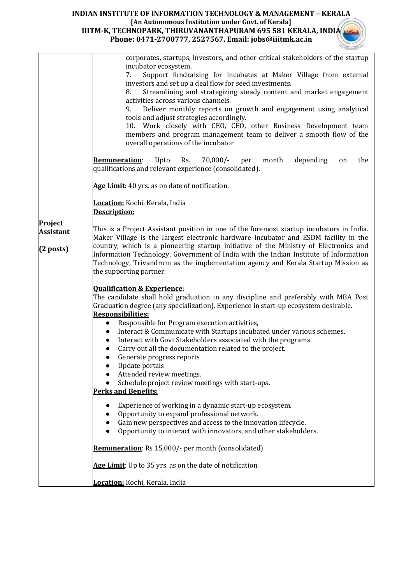|                  | corporates, startups, investors, and other critical stakeholders of the startup                                                                                             |
|------------------|-----------------------------------------------------------------------------------------------------------------------------------------------------------------------------|
|                  | incubator ecosystem.                                                                                                                                                        |
|                  | Support fundraising for incubates at Maker Village from external<br>7.                                                                                                      |
|                  | investors and set up a deal flow for seed investments.                                                                                                                      |
|                  | Streamlining and strategizing steady content and market engagement<br>8.<br>activities across various channels.                                                             |
|                  | Deliver monthly reports on growth and engagement using analytical<br>9.                                                                                                     |
|                  | tools and adjust strategies accordingly.                                                                                                                                    |
|                  | 10. Work closely with CEO, CEO, other Business Development team                                                                                                             |
|                  | members and program management team to deliver a smooth flow of the                                                                                                         |
|                  | overall operations of the incubator                                                                                                                                         |
|                  |                                                                                                                                                                             |
|                  | <b>Remuneration:</b><br>Upto<br>Rs.<br>$70,000/-$<br>depending<br>month<br>the<br>per<br>on                                                                                 |
|                  | qualifications and relevant experience (consolidated).                                                                                                                      |
|                  | Age Limit: 40 yrs. as on date of notification.                                                                                                                              |
|                  |                                                                                                                                                                             |
|                  | Location: Kochi, Kerala, India                                                                                                                                              |
|                  | <b>Description:</b>                                                                                                                                                         |
| Project          |                                                                                                                                                                             |
| <b>Assistant</b> | This is a Project Assistant position in one of the foremost startup incubators in India.                                                                                    |
|                  | Maker Village is the largest electronic hardware incubator and ESDM facility in the<br>country, which is a pioneering startup initiative of the Ministry of Electronics and |
| $(2$ posts)      | Information Technology, Government of India with the Indian Institute of Information                                                                                        |
|                  | Technology, Trivandrum as the implementation agency and Kerala Startup Mission as                                                                                           |
|                  | the supporting partner.                                                                                                                                                     |
|                  |                                                                                                                                                                             |
|                  | <b>Qualification &amp; Experience:</b>                                                                                                                                      |
|                  | The candidate shall hold graduation in any discipline and preferably with MBA Post                                                                                          |
|                  | Graduation degree (any specialization). Experience in start-up ecosystem desirable.                                                                                         |
|                  | <b>Responsibilities:</b>                                                                                                                                                    |
|                  | Responsible for Program execution activities,<br>$\bullet$                                                                                                                  |
|                  | Interact & Communicate with Startups incubated under various schemes.<br>$\bullet$                                                                                          |
|                  | Interact with Govt Stakeholders associated with the programs.<br>$\bullet$<br>Carry out all the documentation related to the project.                                       |
|                  | $\bullet$<br>Generate progress reports<br>$\bullet$                                                                                                                         |
|                  | Update portals                                                                                                                                                              |
|                  | Attended review meetings.                                                                                                                                                   |
|                  | Schedule project review meetings with start-ups.                                                                                                                            |
|                  | <b>Perks and Benefits:</b>                                                                                                                                                  |
|                  | Experience of working in a dynamic start-up ecosystem.                                                                                                                      |
|                  | Opportunity to expand professional network.                                                                                                                                 |
|                  | Gain new perspectives and access to the innovation lifecycle.                                                                                                               |
|                  | Opportunity to interact with innovators, and other stakeholders.<br>$\bullet$                                                                                               |
|                  |                                                                                                                                                                             |
|                  | <b>Remuneration:</b> Rs 15,000/- per month (consolidated)                                                                                                                   |
|                  | Age Limit: Up to 35 yrs. as on the date of notification.                                                                                                                    |
|                  |                                                                                                                                                                             |
|                  | Location: Kochi, Kerala, India                                                                                                                                              |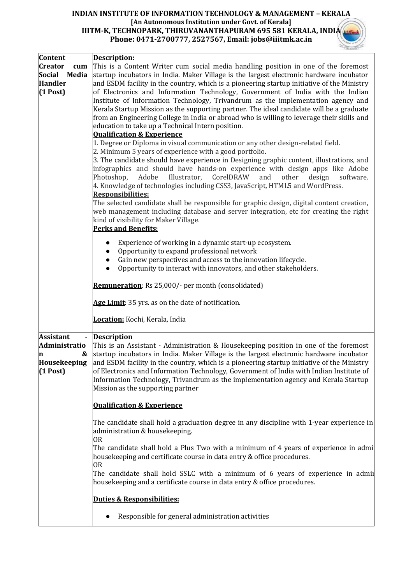| Content                                                                         | Description:                                                                                                                                                                                                                                                                                                                                                                                                                                                                                                                                                                                                                                                                                                                                                                                                                                                                                                                                                                                                                                                                                                                                                                                                                                                                                                                                                                                                                                                                                                                            |  |
|---------------------------------------------------------------------------------|-----------------------------------------------------------------------------------------------------------------------------------------------------------------------------------------------------------------------------------------------------------------------------------------------------------------------------------------------------------------------------------------------------------------------------------------------------------------------------------------------------------------------------------------------------------------------------------------------------------------------------------------------------------------------------------------------------------------------------------------------------------------------------------------------------------------------------------------------------------------------------------------------------------------------------------------------------------------------------------------------------------------------------------------------------------------------------------------------------------------------------------------------------------------------------------------------------------------------------------------------------------------------------------------------------------------------------------------------------------------------------------------------------------------------------------------------------------------------------------------------------------------------------------------|--|
| <b>Creator</b><br>cum<br><b>Social</b><br>Media<br><b>Handler</b><br>$(1$ Post) | This is a Content Writer cum social media handling position in one of the foremost<br>startup incubators in India. Maker Village is the largest electronic hardware incubator<br>and ESDM facility in the country, which is a pioneering startup initiative of the Ministry<br>of Electronics and Information Technology, Government of India with the Indian<br>Institute of Information Technology, Trivandrum as the implementation agency and<br>Kerala Startup Mission as the supporting partner. The ideal candidate will be a graduate<br>from an Engineering College in India or abroad who is willing to leverage their skills and<br>education to take up a Technical Intern position.<br><b>Qualification &amp; Experience</b><br>1. Degree or Diploma in visual communication or any other design-related field.<br>2. Minimum 5 years of experience with a good portfolio.<br>3. The candidate should have experience in Designing graphic content, illustrations, and<br>infographics and should have hands-on experience with design apps like Adobe<br>Photoshop,<br>Adobe<br>Illustrator,<br>CorelDRAW<br>other<br>and<br>design<br>software.<br>4. Knowledge of technologies including CSS3, JavaScript, HTML5 and WordPress.<br><b>Responsibilities:</b><br>The selected candidate shall be responsible for graphic design, digital content creation,<br>web management including database and server integration, etc for creating the right<br>kind of visibility for Maker Village.<br><b>Perks and Benefits:</b> |  |
|                                                                                 | Experience of working in a dynamic start-up ecosystem.<br>$\bullet$<br>Opportunity to expand professional network<br>Gain new perspectives and access to the innovation lifecycle.<br>Opportunity to interact with innovators, and other stakeholders.<br><b>Remuneration:</b> Rs 25,000/- per month (consolidated)                                                                                                                                                                                                                                                                                                                                                                                                                                                                                                                                                                                                                                                                                                                                                                                                                                                                                                                                                                                                                                                                                                                                                                                                                     |  |
|                                                                                 | Age Limit: 35 yrs. as on the date of notification.<br>Location: Kochi, Kerala, India                                                                                                                                                                                                                                                                                                                                                                                                                                                                                                                                                                                                                                                                                                                                                                                                                                                                                                                                                                                                                                                                                                                                                                                                                                                                                                                                                                                                                                                    |  |
| <b>Assistant</b><br>Administratio<br>n<br>Housekeeping<br>$(1$ Post)            | <b>Description</b><br>This is an Assistant - Administration & Housekeeping position in one of the foremost<br>& startup incubators in India. Maker Village is the largest electronic hardware incubator<br>and ESDM facility in the country, which is a pioneering startup initiative of the Ministry<br>of Electronics and Information Technology, Government of India with Indian Institute of<br>Information Technology, Trivandrum as the implementation agency and Kerala Startup<br>Mission as the supporting partner                                                                                                                                                                                                                                                                                                                                                                                                                                                                                                                                                                                                                                                                                                                                                                                                                                                                                                                                                                                                             |  |
|                                                                                 | <b>Qualification &amp; Experience</b><br>The candidate shall hold a graduation degree in any discipline with 1-year experience in<br>administration & housekeeping.<br>0R<br>The candidate shall hold a Plus Two with a minimum of 4 years of experience in admi<br>housekeeping and certificate course in data entry & office procedures.<br>OR<br>The candidate shall hold SSLC with a minimum of 6 years of experience in admit<br>housekeeping and a certificate course in data entry & office procedures.<br>Duties & Responsibilities:                                                                                                                                                                                                                                                                                                                                                                                                                                                                                                                                                                                                                                                                                                                                                                                                                                                                                                                                                                                            |  |
|                                                                                 | Responsible for general administration activities                                                                                                                                                                                                                                                                                                                                                                                                                                                                                                                                                                                                                                                                                                                                                                                                                                                                                                                                                                                                                                                                                                                                                                                                                                                                                                                                                                                                                                                                                       |  |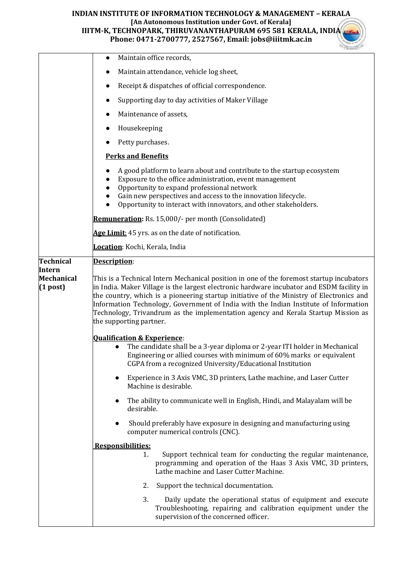|                                    | Maintain office records,<br>$\bullet$                                                                                                                                                                                                                                                                                                                                                                                                                                                     |  |  |  |
|------------------------------------|-------------------------------------------------------------------------------------------------------------------------------------------------------------------------------------------------------------------------------------------------------------------------------------------------------------------------------------------------------------------------------------------------------------------------------------------------------------------------------------------|--|--|--|
|                                    | Maintain attendance, vehicle log sheet,                                                                                                                                                                                                                                                                                                                                                                                                                                                   |  |  |  |
|                                    | Receipt & dispatches of official correspondence.<br>$\bullet$                                                                                                                                                                                                                                                                                                                                                                                                                             |  |  |  |
|                                    | Supporting day to day activities of Maker Village                                                                                                                                                                                                                                                                                                                                                                                                                                         |  |  |  |
|                                    | Maintenance of assets,<br>$\bullet$                                                                                                                                                                                                                                                                                                                                                                                                                                                       |  |  |  |
|                                    | Housekeeping                                                                                                                                                                                                                                                                                                                                                                                                                                                                              |  |  |  |
|                                    | Petty purchases.                                                                                                                                                                                                                                                                                                                                                                                                                                                                          |  |  |  |
|                                    | <b>Perks and Benefits</b>                                                                                                                                                                                                                                                                                                                                                                                                                                                                 |  |  |  |
|                                    | A good platform to learn about and contribute to the startup ecosystem<br>Exposure to the office administration, event management<br>Opportunity to expand professional network<br>Gain new perspectives and access to the innovation lifecycle.<br>Opportunity to interact with innovators, and other stakeholders.                                                                                                                                                                      |  |  |  |
|                                    | Remuneration: Rs. 15,000/- per month (Consolidated)                                                                                                                                                                                                                                                                                                                                                                                                                                       |  |  |  |
|                                    | Age Limit: 45 yrs. as on the date of notification.                                                                                                                                                                                                                                                                                                                                                                                                                                        |  |  |  |
|                                    | Location: Kochi, Kerala, India                                                                                                                                                                                                                                                                                                                                                                                                                                                            |  |  |  |
| <b>Technical</b>                   | Description:                                                                                                                                                                                                                                                                                                                                                                                                                                                                              |  |  |  |
| Intern<br>Mechanical<br>$(1$ post) | This is a Technical Intern Mechanical position in one of the foremost startup incubators<br>in India. Maker Village is the largest electronic hardware incubator and ESDM facility in<br>the country, which is a pioneering startup initiative of the Ministry of Electronics and<br>Information Technology, Government of India with the Indian Institute of Information<br>Technology, Trivandrum as the implementation agency and Kerala Startup Mission as<br>the supporting partner. |  |  |  |
|                                    | <b>Qualification &amp; Experience:</b><br>The candidate shall be a 3-year diploma or 2-year ITI holder in Mechanical<br>Engineering or allied courses with minimum of 60% marks or equivalent<br>CGPA from a recognized University/Educational Institution<br>Experience in 3 Axis VMC, 3D printers, Lathe machine, and Laser Cutter<br>$\bullet$<br>Machine is desirable.                                                                                                                |  |  |  |
|                                    | The ability to communicate well in English, Hindi, and Malayalam will be<br>$\bullet$<br>desirable.                                                                                                                                                                                                                                                                                                                                                                                       |  |  |  |
|                                    | Should preferably have exposure in designing and manufacturing using<br>computer numerical controls (CNC).                                                                                                                                                                                                                                                                                                                                                                                |  |  |  |
|                                    | Responsibilities:<br>Support technical team for conducting the regular maintenance,<br>1.<br>programming and operation of the Haas 3 Axis VMC, 3D printers,<br>Lathe machine and Laser Cutter Machine.                                                                                                                                                                                                                                                                                    |  |  |  |
|                                    | Support the technical documentation.<br>2.                                                                                                                                                                                                                                                                                                                                                                                                                                                |  |  |  |
|                                    | 3.<br>Daily update the operational status of equipment and execute<br>Troubleshooting, repairing and calibration equipment under the<br>supervision of the concerned officer.                                                                                                                                                                                                                                                                                                             |  |  |  |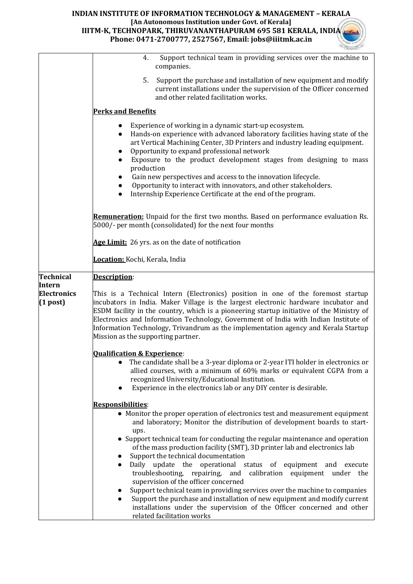|                                  | Support technical team in providing services over the machine to<br>4.<br>companies.                                                                                                                                                                                                                                                                                                                                                                                                                                                                                                                                                                                      |
|----------------------------------|---------------------------------------------------------------------------------------------------------------------------------------------------------------------------------------------------------------------------------------------------------------------------------------------------------------------------------------------------------------------------------------------------------------------------------------------------------------------------------------------------------------------------------------------------------------------------------------------------------------------------------------------------------------------------|
|                                  | Support the purchase and installation of new equipment and modify<br>5.<br>current installations under the supervision of the Officer concerned<br>and other related facilitation works.                                                                                                                                                                                                                                                                                                                                                                                                                                                                                  |
|                                  | <b>Perks and Benefits</b>                                                                                                                                                                                                                                                                                                                                                                                                                                                                                                                                                                                                                                                 |
|                                  | Experience of working in a dynamic start-up ecosystem.<br>$\bullet$<br>Hands-on experience with advanced laboratory facilities having state of the<br>$\bullet$<br>art Vertical Machining Center, 3D Printers and industry leading equipment.<br>Opportunity to expand professional network<br>Exposure to the product development stages from designing to mass<br>$\bullet$<br>production<br>Gain new perspectives and access to the innovation lifecycle.<br>Opportunity to interact with innovators, and other stakeholders.<br>Internship Experience Certificate at the end of the program.<br>$\bullet$                                                             |
|                                  | Remuneration: Unpaid for the first two months. Based on performance evaluation Rs.<br>5000/- per month (consolidated) for the next four months                                                                                                                                                                                                                                                                                                                                                                                                                                                                                                                            |
|                                  | Age Limit: 26 yrs. as on the date of notification                                                                                                                                                                                                                                                                                                                                                                                                                                                                                                                                                                                                                         |
|                                  | Location: Kochi, Kerala, India                                                                                                                                                                                                                                                                                                                                                                                                                                                                                                                                                                                                                                            |
| <b>Technical</b><br>Intern       | Description:                                                                                                                                                                                                                                                                                                                                                                                                                                                                                                                                                                                                                                                              |
| <b>Electronics</b><br>$(1$ post) | This is a Technical Intern (Electronics) position in one of the foremost startup<br>incubators in India. Maker Village is the largest electronic hardware incubator and<br>ESDM facility in the country, which is a pioneering startup initiative of the Ministry of<br>Electronics and Information Technology, Government of India with Indian Institute of<br>Information Technology, Trivandrum as the implementation agency and Kerala Startup<br>Mission as the supporting partner.                                                                                                                                                                                  |
|                                  | <b>Qualification &amp; Experience:</b><br>• The candidate shall be a 3-year diploma or 2-year ITI holder in electronics or<br>allied courses, with a minimum of 60% marks or equivalent CGPA from a<br>recognized University/Educational Institution.<br>Experience in the electronics lab or any DIY center is desirable.                                                                                                                                                                                                                                                                                                                                                |
|                                  | <b>Responsibilities:</b>                                                                                                                                                                                                                                                                                                                                                                                                                                                                                                                                                                                                                                                  |
|                                  | • Monitor the proper operation of electronics test and measurement equipment<br>and laboratory; Monitor the distribution of development boards to start-<br>ups.                                                                                                                                                                                                                                                                                                                                                                                                                                                                                                          |
|                                  | • Support technical team for conducting the regular maintenance and operation<br>of the mass production facility (SMT), 3D printer lab and electronics lab<br>Support the technical documentation<br>Daily update the operational status of equipment and execute<br>$\bullet$<br>troubleshooting, repairing, and calibration equipment under the<br>supervision of the officer concerned<br>Support technical team in providing services over the machine to companies<br>Support the purchase and installation of new equipment and modify current<br>$\bullet$<br>installations under the supervision of the Officer concerned and other<br>related facilitation works |